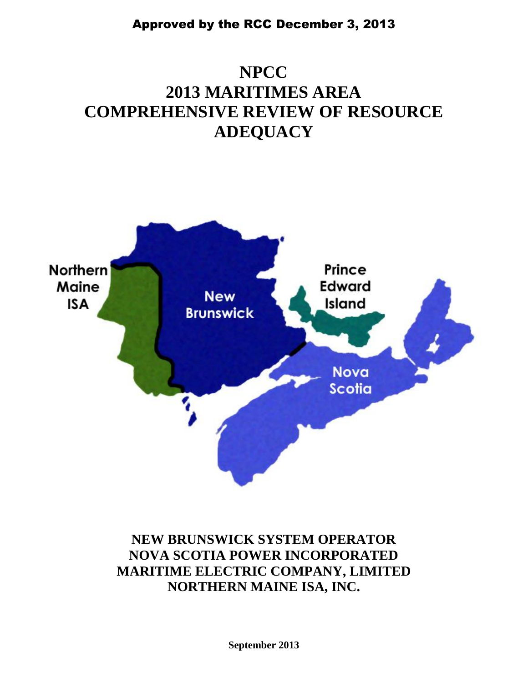Approved by the RCC December 3, 2013

# **NPCC 2013 MARITIMES AREA COMPREHENSIVE REVIEW OF RESOURCE ADEQUACY**



## **NEW BRUNSWICK SYSTEM OPERATOR NOVA SCOTIA POWER INCORPORATED MARITIME ELECTRIC COMPANY, LIMITED NORTHERN MAINE ISA, INC.**

**September 2013**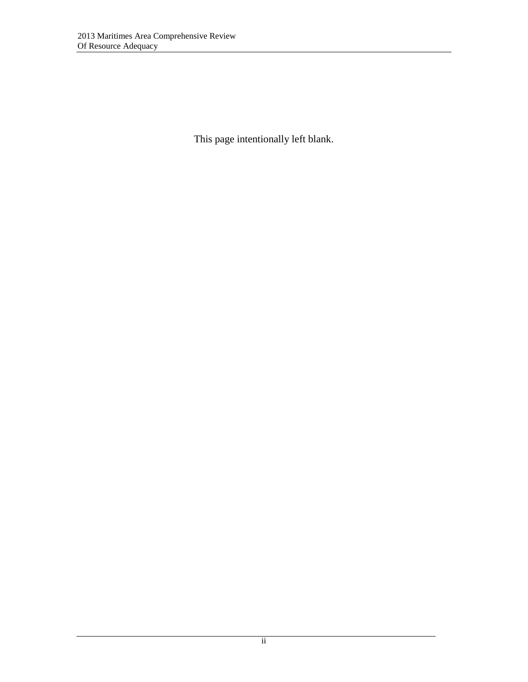This page intentionally left blank.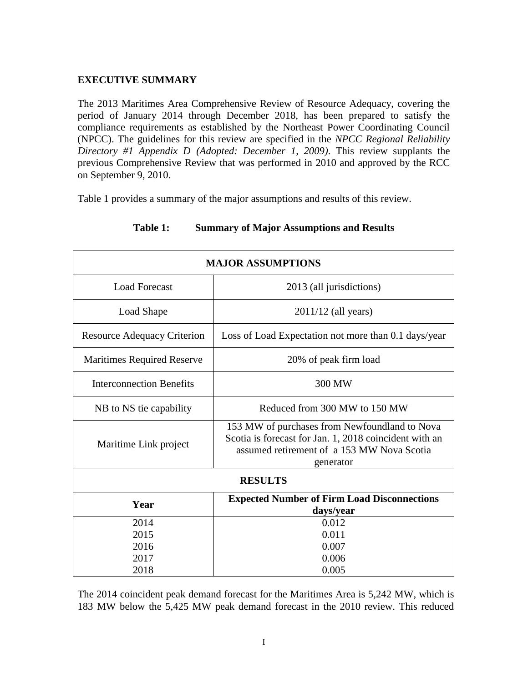## **EXECUTIVE SUMMARY**

The 2013 Maritimes Area Comprehensive Review of Resource Adequacy, covering the period of January 2014 through December 2018, has been prepared to satisfy the compliance requirements as established by the Northeast Power Coordinating Council (NPCC). The guidelines for this review are specified in the *NPCC Regional Reliability Directory #1 Appendix D (Adopted: December 1, 2009)*. This review supplants the previous Comprehensive Review that was performed in 2010 and approved by the RCC on September 9, 2010.

Table 1 provides a summary of the major assumptions and results of this review.

| <b>MAJOR ASSUMPTIONS</b>                            |                                                                                                                                                                    |  |  |  |  |
|-----------------------------------------------------|--------------------------------------------------------------------------------------------------------------------------------------------------------------------|--|--|--|--|
| <b>Load Forecast</b>                                | 2013 (all jurisdictions)                                                                                                                                           |  |  |  |  |
| Load Shape                                          | $2011/12$ (all years)                                                                                                                                              |  |  |  |  |
| <b>Resource Adequacy Criterion</b>                  | Loss of Load Expectation not more than 0.1 days/year                                                                                                               |  |  |  |  |
| Maritimes Required Reserve<br>20% of peak firm load |                                                                                                                                                                    |  |  |  |  |
| <b>Interconnection Benefits</b>                     | 300 MW                                                                                                                                                             |  |  |  |  |
| NB to NS tie capability                             | Reduced from 300 MW to 150 MW                                                                                                                                      |  |  |  |  |
| Maritime Link project                               | 153 MW of purchases from Newfoundland to Nova<br>Scotia is forecast for Jan. 1, 2018 coincident with an<br>assumed retirement of a 153 MW Nova Scotia<br>generator |  |  |  |  |
|                                                     | <b>RESULTS</b>                                                                                                                                                     |  |  |  |  |
| Year                                                | <b>Expected Number of Firm Load Disconnections</b><br>days/year                                                                                                    |  |  |  |  |
| 2014                                                | 0.012                                                                                                                                                              |  |  |  |  |
| 2015                                                | 0.011                                                                                                                                                              |  |  |  |  |
| 2016                                                | 0.007                                                                                                                                                              |  |  |  |  |
| 0.006<br>2017                                       |                                                                                                                                                                    |  |  |  |  |
| 2018<br>0.005                                       |                                                                                                                                                                    |  |  |  |  |

## **Table 1: Summary of Major Assumptions and Results**

The 2014 coincident peak demand forecast for the Maritimes Area is 5,242 MW, which is 183 MW below the 5,425 MW peak demand forecast in the 2010 review. This reduced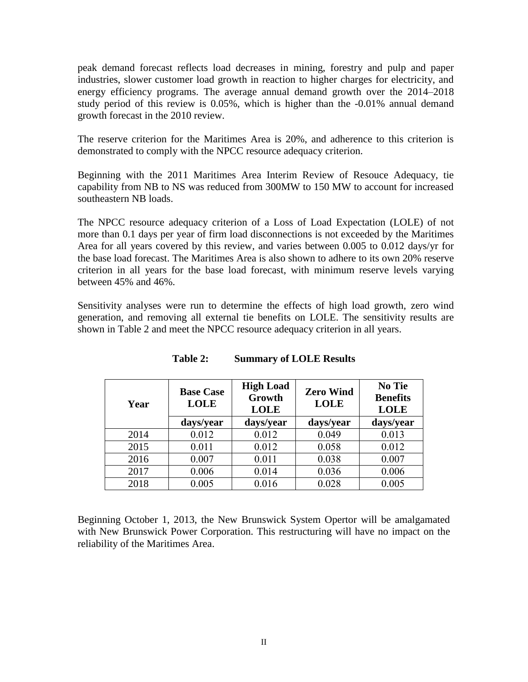peak demand forecast reflects load decreases in mining, forestry and pulp and paper industries, slower customer load growth in reaction to higher charges for electricity, and energy efficiency programs. The average annual demand growth over the 2014–2018 study period of this review is 0.05%, which is higher than the -0.01% annual demand growth forecast in the 2010 review.

The reserve criterion for the Maritimes Area is 20%, and adherence to this criterion is demonstrated to comply with the NPCC resource adequacy criterion.

Beginning with the 2011 Maritimes Area Interim Review of Resouce Adequacy, tie capability from NB to NS was reduced from 300MW to 150 MW to account for increased southeastern NB loads.

The NPCC resource adequacy criterion of a Loss of Load Expectation (LOLE) of not more than 0.1 days per year of firm load disconnections is not exceeded by the Maritimes Area for all years covered by this review, and varies between 0.005 to 0.012 days/yr for the base load forecast. The Maritimes Area is also shown to adhere to its own 20% reserve criterion in all years for the base load forecast, with minimum reserve levels varying between 45% and 46%.

Sensitivity analyses were run to determine the effects of high load growth, zero wind generation, and removing all external tie benefits on LOLE. The sensitivity results are shown in Table 2 and meet the NPCC resource adequacy criterion in all years.

| Year | <b>Base Case</b><br><b>LOLE</b> | <b>High Load</b><br>Growth<br><b>LOLE</b> | <b>Zero Wind</b><br><b>LOLE</b> | No Tie<br><b>Benefits</b><br><b>LOLE</b> |
|------|---------------------------------|-------------------------------------------|---------------------------------|------------------------------------------|
|      | days/year                       | days/year                                 | days/year                       | days/year                                |
| 2014 | 0.012                           | 0.012                                     | 0.049                           | 0.013                                    |
| 2015 | 0.011                           | 0.012                                     | 0.058                           | 0.012                                    |
| 2016 | 0.007                           | 0.011                                     | 0.038                           | 0.007                                    |
| 2017 | 0.006                           | 0.014                                     | 0.036                           | 0.006                                    |
| 2018 | 0.005                           | 0.016                                     | 0.028                           | 0.005                                    |

**Table 2: Summary of LOLE Results** 

Beginning October 1, 2013, the New Brunswick System Opertor will be amalgamated with New Brunswick Power Corporation. This restructuring will have no impact on the reliability of the Maritimes Area.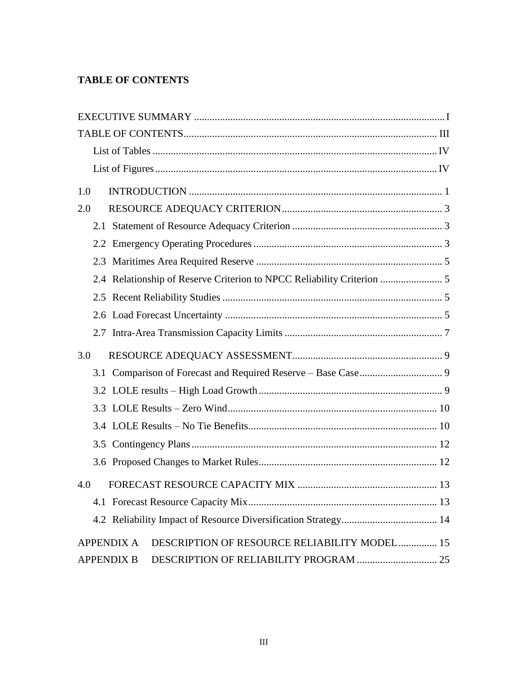## **TABLE OF CONTENTS**

| 1.0 |                                                                   |  |
|-----|-------------------------------------------------------------------|--|
| 2.0 |                                                                   |  |
|     |                                                                   |  |
|     |                                                                   |  |
|     |                                                                   |  |
|     |                                                                   |  |
|     |                                                                   |  |
|     |                                                                   |  |
|     |                                                                   |  |
| 3.0 |                                                                   |  |
|     |                                                                   |  |
|     |                                                                   |  |
|     |                                                                   |  |
|     |                                                                   |  |
|     |                                                                   |  |
|     |                                                                   |  |
| 4.0 |                                                                   |  |
|     |                                                                   |  |
|     |                                                                   |  |
|     | DESCRIPTION OF RESOURCE RELIABILITY MODEL 15<br><b>APPENDIX A</b> |  |
|     | <b>APPENDIX B</b>                                                 |  |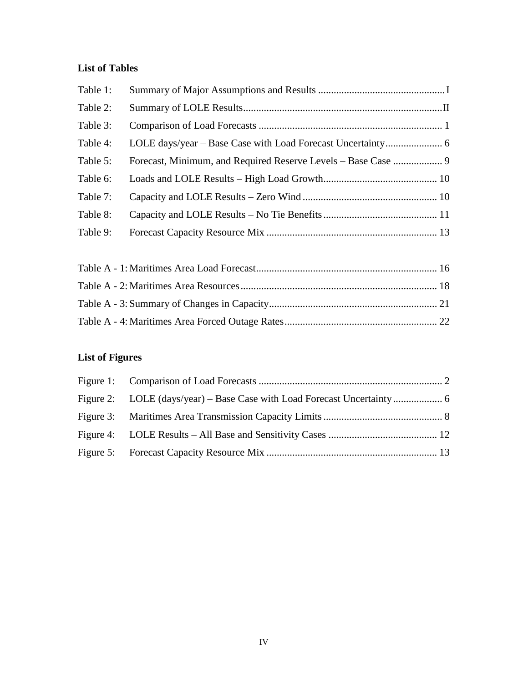## **List of Tables**

| Table 1: |  |
|----------|--|
| Table 2: |  |
| Table 3: |  |
| Table 4: |  |
| Table 5: |  |
| Table 6: |  |
| Table 7: |  |
| Table 8: |  |
| Table 9: |  |
|          |  |

## **List of Figures**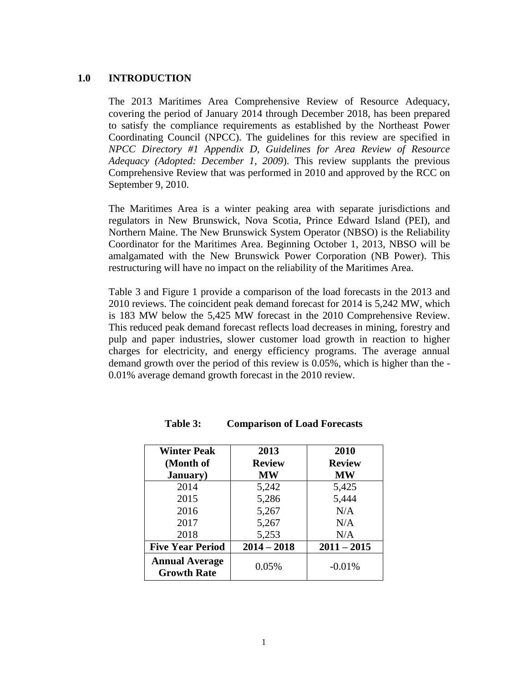## **1.0 INTRODUCTION**

The 2013 Maritimes Area Comprehensive Review of Resource Adequacy, covering the period of January 2014 through December 2018, has been prepared to satisfy the compliance requirements as established by the Northeast Power Coordinating Council (NPCC). The guidelines for this review are specified in *NPCC Directory #1 Appendix D, Guidelines for Area Review of Resource Adequacy (Adopted: December 1, 2009*). This review supplants the previous Comprehensive Review that was performed in 2010 and approved by the RCC on September 9, 2010.

The Maritimes Area is a winter peaking area with separate jurisdictions and regulators in New Brunswick, Nova Scotia, Prince Edward Island (PEI), and Northern Maine. The New Brunswick System Operator (NBSO) is the Reliability Coordinator for the Maritimes Area. Beginning October 1, 2013, NBSO will be amalgamated with the New Brunswick Power Corporation (NB Power). This restructuring will have no impact on the reliability of the Maritimes Area.

Table 3 and Figure 1 provide a comparison of the load forecasts in the 2013 and 2010 reviews. The coincident peak demand forecast for 2014 is 5,242 MW, which is 183 MW below the 5,425 MW forecast in the 2010 Comprehensive Review. This reduced peak demand forecast reflects load decreases in mining, forestry and pulp and paper industries, slower customer load growth in reaction to higher charges for electricity, and energy efficiency programs. The average annual demand growth over the period of this review is 0.05%, which is higher than the - 0.01% average demand growth forecast in the 2010 review.

| <b>Winter Peak</b>                          | 2013          | 2010          |
|---------------------------------------------|---------------|---------------|
| (Month of                                   | <b>Review</b> | <b>Review</b> |
| January)                                    | <b>MW</b>     | <b>MW</b>     |
| 2014                                        | 5,242         | 5,425         |
| 2015                                        | 5,286         | 5,444         |
| 2016                                        | 5,267         | N/A           |
| 2017                                        | 5,267         | N/A           |
| 2018                                        | 5,253         | N/A           |
| <b>Five Year Period</b>                     | $2014 - 2018$ | $2011 - 2015$ |
| <b>Annual Average</b><br><b>Growth Rate</b> | 0.05%         | $-0.01%$      |

**Table 3: Comparison of Load Forecasts**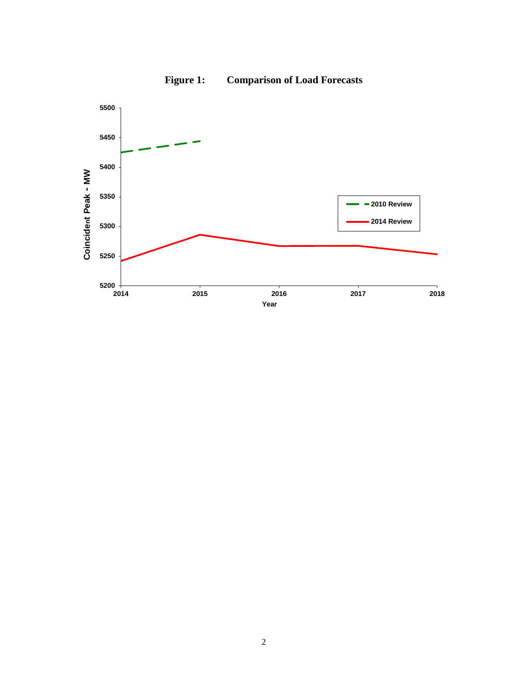

**Figure 1: Comparison of Load Forecasts**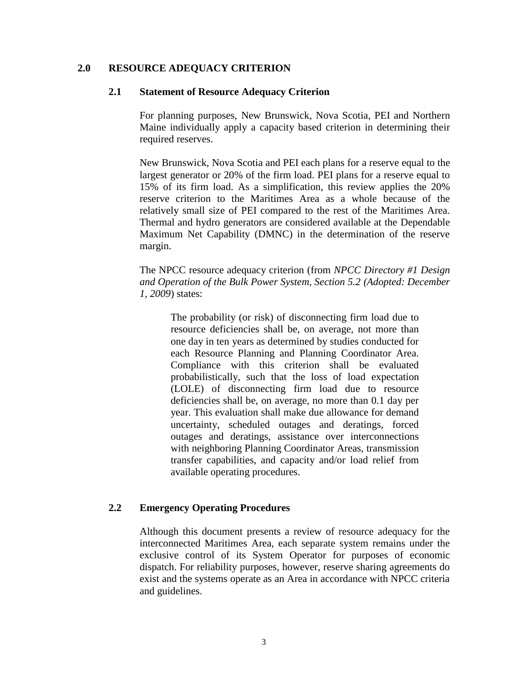## **2.0 RESOURCE ADEQUACY CRITERION**

#### **2.1 Statement of Resource Adequacy Criterion**

For planning purposes, New Brunswick, Nova Scotia, PEI and Northern Maine individually apply a capacity based criterion in determining their required reserves.

New Brunswick, Nova Scotia and PEI each plans for a reserve equal to the largest generator or 20% of the firm load. PEI plans for a reserve equal to 15% of its firm load. As a simplification, this review applies the 20% reserve criterion to the Maritimes Area as a whole because of the relatively small size of PEI compared to the rest of the Maritimes Area. Thermal and hydro generators are considered available at the Dependable Maximum Net Capability (DMNC) in the determination of the reserve margin.

The NPCC resource adequacy criterion (from *NPCC Directory #1 Design and Operation of the Bulk Power System, Section 5.2 (Adopted: December 1, 2009*) states:

> The probability (or risk) of disconnecting firm load due to resource deficiencies shall be, on average, not more than one day in ten years as determined by studies conducted for each Resource Planning and Planning Coordinator Area. Compliance with this criterion shall be evaluated probabilistically, such that the loss of load expectation (LOLE) of disconnecting firm load due to resource deficiencies shall be, on average, no more than 0.1 day per year. This evaluation shall make due allowance for demand uncertainty, scheduled outages and deratings, forced outages and deratings, assistance over interconnections with neighboring Planning Coordinator Areas, transmission transfer capabilities, and capacity and/or load relief from available operating procedures.

## **2.2 Emergency Operating Procedures**

Although this document presents a review of resource adequacy for the interconnected Maritimes Area, each separate system remains under the exclusive control of its System Operator for purposes of economic dispatch. For reliability purposes, however, reserve sharing agreements do exist and the systems operate as an Area in accordance with NPCC criteria and guidelines.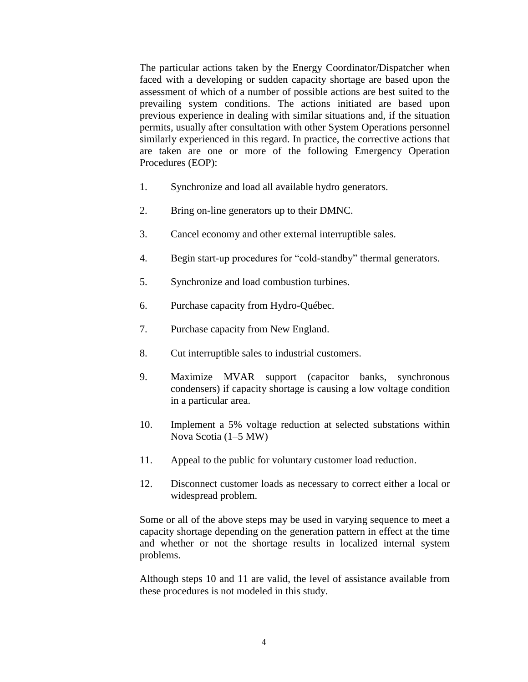The particular actions taken by the Energy Coordinator/Dispatcher when faced with a developing or sudden capacity shortage are based upon the assessment of which of a number of possible actions are best suited to the prevailing system conditions. The actions initiated are based upon previous experience in dealing with similar situations and, if the situation permits, usually after consultation with other System Operations personnel similarly experienced in this regard. In practice, the corrective actions that are taken are one or more of the following Emergency Operation Procedures (EOP):

- 1. Synchronize and load all available hydro generators.
- 2. Bring on-line generators up to their DMNC.
- 3. Cancel economy and other external interruptible sales.
- 4. Begin start-up procedures for "cold-standby" thermal generators.
- 5. Synchronize and load combustion turbines.
- 6. Purchase capacity from Hydro-Québec.
- 7. Purchase capacity from New England.
- 8. Cut interruptible sales to industrial customers.
- 9. Maximize MVAR support (capacitor banks, synchronous condensers) if capacity shortage is causing a low voltage condition in a particular area.
- 10. Implement a 5% voltage reduction at selected substations within Nova Scotia (1–5 MW)
- 11. Appeal to the public for voluntary customer load reduction.
- 12. Disconnect customer loads as necessary to correct either a local or widespread problem.

Some or all of the above steps may be used in varying sequence to meet a capacity shortage depending on the generation pattern in effect at the time and whether or not the shortage results in localized internal system problems.

Although steps 10 and 11 are valid, the level of assistance available from these procedures is not modeled in this study.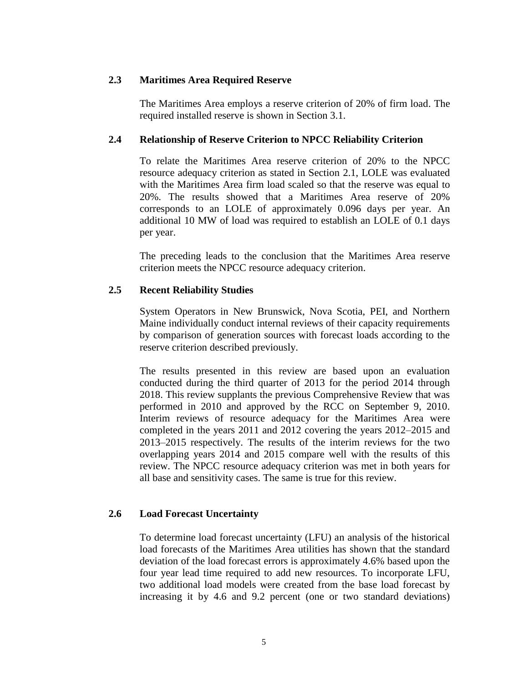## **2.3 Maritimes Area Required Reserve**

The Maritimes Area employs a reserve criterion of 20% of firm load. The required installed reserve is shown in Section 3.1.

## **2.4 Relationship of Reserve Criterion to NPCC Reliability Criterion**

To relate the Maritimes Area reserve criterion of 20% to the NPCC resource adequacy criterion as stated in Section 2.1, LOLE was evaluated with the Maritimes Area firm load scaled so that the reserve was equal to 20%. The results showed that a Maritimes Area reserve of 20% corresponds to an LOLE of approximately 0.096 days per year. An additional 10 MW of load was required to establish an LOLE of 0.1 days per year.

The preceding leads to the conclusion that the Maritimes Area reserve criterion meets the NPCC resource adequacy criterion.

## **2.5 Recent Reliability Studies**

System Operators in New Brunswick, Nova Scotia, PEI, and Northern Maine individually conduct internal reviews of their capacity requirements by comparison of generation sources with forecast loads according to the reserve criterion described previously.

The results presented in this review are based upon an evaluation conducted during the third quarter of 2013 for the period 2014 through 2018. This review supplants the previous Comprehensive Review that was performed in 2010 and approved by the RCC on September 9, 2010. Interim reviews of resource adequacy for the Maritimes Area were completed in the years 2011 and 2012 covering the years 2012–2015 and 2013–2015 respectively. The results of the interim reviews for the two overlapping years 2014 and 2015 compare well with the results of this review. The NPCC resource adequacy criterion was met in both years for all base and sensitivity cases. The same is true for this review.

## **2.6 Load Forecast Uncertainty**

To determine load forecast uncertainty (LFU) an analysis of the historical load forecasts of the Maritimes Area utilities has shown that the standard deviation of the load forecast errors is approximately 4.6% based upon the four year lead time required to add new resources. To incorporate LFU, two additional load models were created from the base load forecast by increasing it by 4.6 and 9.2 percent (one or two standard deviations)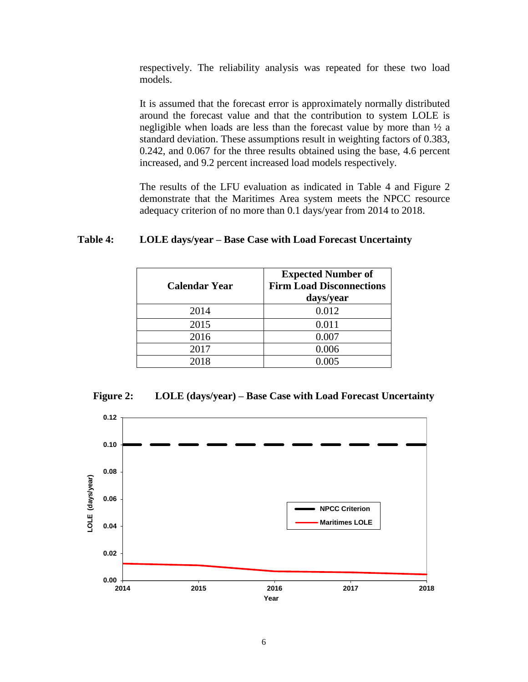respectively. The reliability analysis was repeated for these two load models.

It is assumed that the forecast error is approximately normally distributed around the forecast value and that the contribution to system LOLE is negligible when loads are less than the forecast value by more than ½ a standard deviation. These assumptions result in weighting factors of 0.383, 0.242, and 0.067 for the three results obtained using the base, 4.6 percent increased, and 9.2 percent increased load models respectively.

The results of the LFU evaluation as indicated in Table 4 and Figure 2 demonstrate that the Maritimes Area system meets the NPCC resource adequacy criterion of no more than 0.1 days/year from 2014 to 2018.

## **Table 4: LOLE days/year – Base Case with Load Forecast Uncertainty**

| <b>Calendar Year</b> | <b>Expected Number of</b><br><b>Firm Load Disconnections</b><br>days/year |
|----------------------|---------------------------------------------------------------------------|
| 2014                 | 0.012                                                                     |
| 2015                 | 0.011                                                                     |
| 2016                 | 0.007                                                                     |
| 2017                 | 0.006                                                                     |
| 2018                 | 0.005                                                                     |



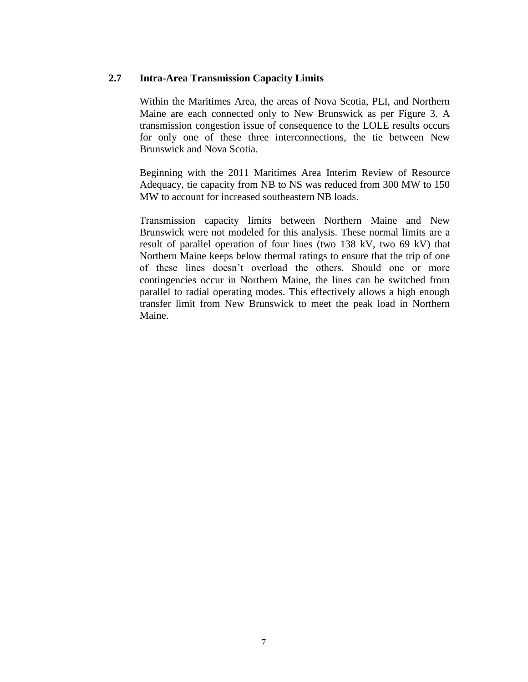## **2.7 Intra-Area Transmission Capacity Limits**

Within the Maritimes Area, the areas of Nova Scotia, PEI, and Northern Maine are each connected only to New Brunswick as per Figure 3. A transmission congestion issue of consequence to the LOLE results occurs for only one of these three interconnections, the tie between New Brunswick and Nova Scotia.

Beginning with the 2011 Maritimes Area Interim Review of Resource Adequacy, tie capacity from NB to NS was reduced from 300 MW to 150 MW to account for increased southeastern NB loads.

Transmission capacity limits between Northern Maine and New Brunswick were not modeled for this analysis. These normal limits are a result of parallel operation of four lines (two 138 kV, two 69 kV) that Northern Maine keeps below thermal ratings to ensure that the trip of one of these lines doesn't overload the others. Should one or more contingencies occur in Northern Maine, the lines can be switched from parallel to radial operating modes. This effectively allows a high enough transfer limit from New Brunswick to meet the peak load in Northern Maine.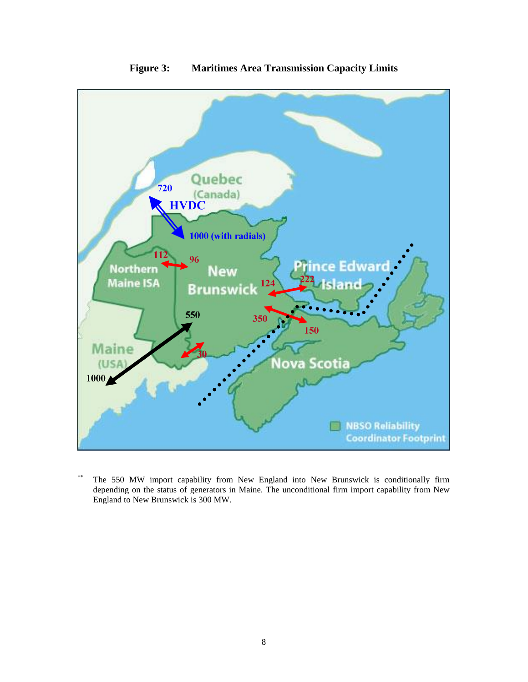

**Figure 3: Maritimes Area Transmission Capacity Limits** 

The 550 MW import capability from New England into New Brunswick is conditionally firm depending on the status of generators in Maine. The unconditional firm import capability from New England to New Brunswick is 300 MW.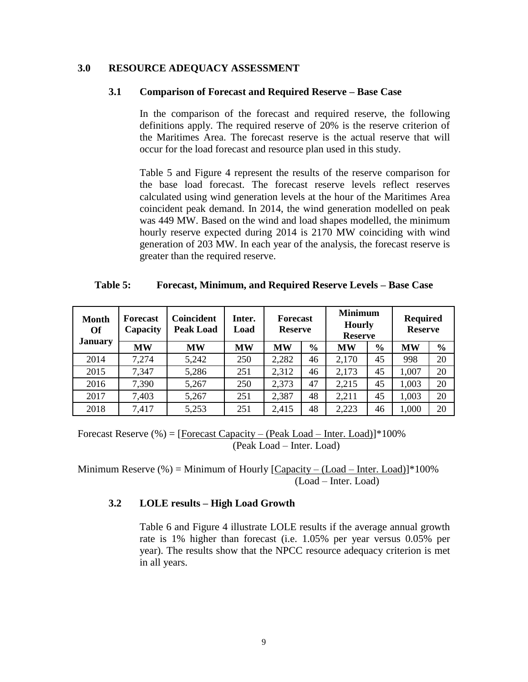## **3.0 RESOURCE ADEQUACY ASSESSMENT**

#### **3.1 Comparison of Forecast and Required Reserve – Base Case**

In the comparison of the forecast and required reserve, the following definitions apply. The required reserve of 20% is the reserve criterion of the Maritimes Area. The forecast reserve is the actual reserve that will occur for the load forecast and resource plan used in this study.

Table 5 and Figure 4 represent the results of the reserve comparison for the base load forecast. The forecast reserve levels reflect reserves calculated using wind generation levels at the hour of the Maritimes Area coincident peak demand. In 2014, the wind generation modelled on peak was 449 MW. Based on the wind and load shapes modelled, the minimum hourly reserve expected during 2014 is 2170 MW coinciding with wind generation of 203 MW. In each year of the analysis, the forecast reserve is greater than the required reserve.

## **Table 5: Forecast, Minimum, and Required Reserve Levels – Base Case**

| <b>Month</b><br><b>Of</b><br><b>January</b> | <b>Forecast</b><br>Capacity | Coincident<br><b>Peak Load</b> | <b>Minimum</b><br>Inter.<br><b>Forecast</b><br><b>Hourly</b><br>Load<br><b>Reserve</b><br><b>Reserve</b> |           |               |           | <b>Required</b><br><b>Reserve</b> |       |               |
|---------------------------------------------|-----------------------------|--------------------------------|----------------------------------------------------------------------------------------------------------|-----------|---------------|-----------|-----------------------------------|-------|---------------|
|                                             | MW                          | MW                             | <b>MW</b>                                                                                                | <b>MW</b> | $\frac{6}{6}$ | <b>MW</b> | $\frac{6}{6}$                     | MW    | $\frac{6}{6}$ |
| 2014                                        | 7,274                       | 5,242                          | 250                                                                                                      | 2,282     | 46            | 2,170     | 45                                | 998   | 20            |
| 2015                                        | 7,347                       | 5,286                          | 251                                                                                                      | 2,312     | 46            | 2,173     | 45                                | 1,007 | 20            |
| 2016                                        | 7,390                       | 5,267                          | 250                                                                                                      | 2,373     | 47            | 2,215     | 45                                | 1,003 | 20            |
| 2017                                        | 7,403                       | 5,267                          | 251                                                                                                      | 2,387     | 48            | 2,211     | 45                                | 1,003 | 20            |
| 2018                                        | 7,417                       | 5,253                          | 251                                                                                                      | 2,415     | 48            | 2,223     | 46                                | 1,000 | 20            |

Forecast Reserve  $(\% )$  = [Forecast Capacity – (Peak Load – Inter. Load)]\*100% (Peak Load – Inter. Load)

Minimum Reserve  $\%$  = Minimum of Hourly [Capacity – (Load – Inter. Load)]\*100% (Load – Inter. Load)

## **3.2 LOLE results – High Load Growth**

Table 6 and Figure 4 illustrate LOLE results if the average annual growth rate is 1% higher than forecast (i.e. 1.05% per year versus 0.05% per year). The results show that the NPCC resource adequacy criterion is met in all years.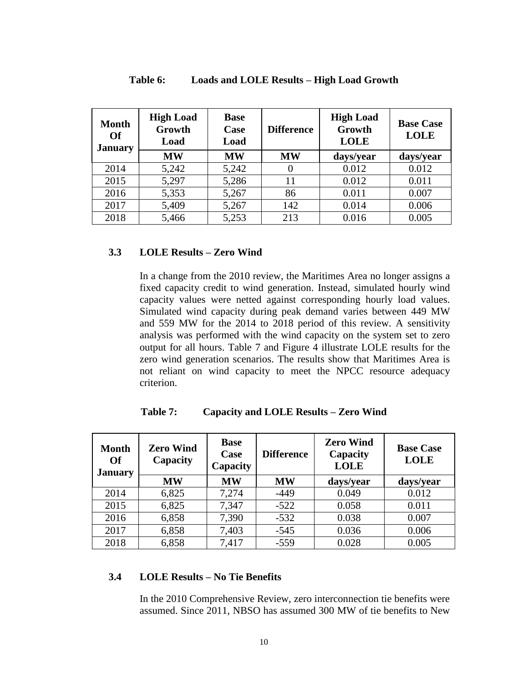| <b>Month</b><br>Of<br><b>January</b> | <b>High Load</b><br>Growth<br>Load | <b>Base</b><br><b>Difference</b><br>Case<br>Load |           | <b>High Load</b><br>Growth<br><b>LOLE</b> | <b>Base Case</b><br><b>LOLE</b> |
|--------------------------------------|------------------------------------|--------------------------------------------------|-----------|-------------------------------------------|---------------------------------|
|                                      | <b>MW</b>                          | <b>MW</b>                                        | <b>MW</b> | days/year                                 | days/year                       |
| 2014                                 | 5,242                              | 5,242                                            |           | 0.012                                     | 0.012                           |
| 2015                                 | 5,297                              | 5,286                                            | 11        | 0.012                                     | 0.011                           |
| 2016                                 | 5,353                              | 5,267                                            | 86        | 0.011                                     | 0.007                           |
| 2017                                 | 5,409                              | 5,267                                            | 142       | 0.014                                     | 0.006                           |
| 2018                                 | 5,466                              | 5,253                                            | 213       | 0.016                                     | 0.005                           |

**Table 6: Loads and LOLE Results – High Load Growth** 

#### **3.3 LOLE Results – Zero Wind**

In a change from the 2010 review, the Maritimes Area no longer assigns a fixed capacity credit to wind generation. Instead, simulated hourly wind capacity values were netted against corresponding hourly load values. Simulated wind capacity during peak demand varies between 449 MW and 559 MW for the 2014 to 2018 period of this review. A sensitivity analysis was performed with the wind capacity on the system set to zero output for all hours. Table 7 and Figure 4 illustrate LOLE results for the zero wind generation scenarios. The results show that Maritimes Area is not reliant on wind capacity to meet the NPCC resource adequacy criterion.

**Table 7: Capacity and LOLE Results – Zero Wind** 

| <b>Month</b><br><b>Of</b><br><b>January</b> | <b>Base</b><br><b>Zero Wind</b><br>Case<br>Capacity<br>Capacity |           | <b>Difference</b> | <b>Zero Wind</b><br>Capacity<br><b>LOLE</b> | <b>Base Case</b><br><b>LOLE</b> |
|---------------------------------------------|-----------------------------------------------------------------|-----------|-------------------|---------------------------------------------|---------------------------------|
|                                             | <b>MW</b>                                                       | <b>MW</b> | <b>MW</b>         | days/year                                   | days/year                       |
| 2014                                        | 6,825                                                           | 7,274     | $-449$            | 0.049                                       | 0.012                           |
| 2015                                        | 6,825                                                           | 7,347     | $-522$            | 0.058                                       | 0.011                           |
| 2016                                        | 6,858                                                           | 7,390     | $-532$            | 0.038                                       | 0.007                           |
| 2017                                        | 6,858                                                           | 7,403     | $-545$            | 0.036                                       | 0.006                           |
| 2018                                        | 6,858                                                           | 7,417     | $-559$            | 0.028                                       | 0.005                           |

## **3.4 LOLE Results – No Tie Benefits**

In the 2010 Comprehensive Review, zero interconnection tie benefits were assumed. Since 2011, NBSO has assumed 300 MW of tie benefits to New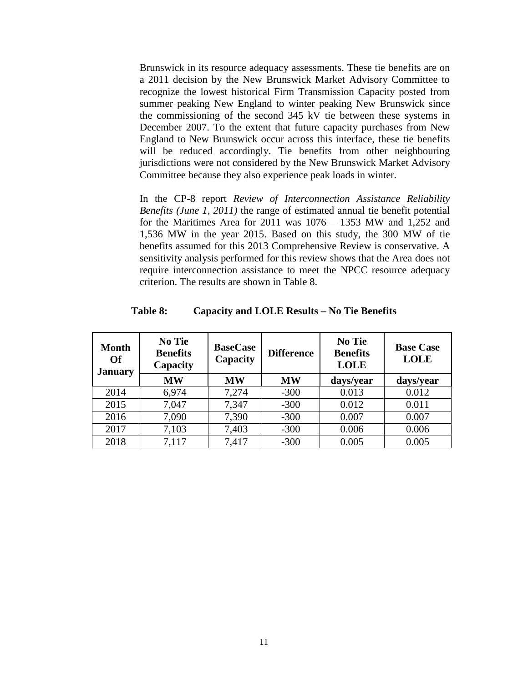Brunswick in its resource adequacy assessments. These tie benefits are on a 2011 decision by the New Brunswick Market Advisory Committee to recognize the lowest historical Firm Transmission Capacity posted from summer peaking New England to winter peaking New Brunswick since the commissioning of the second 345 kV tie between these systems in December 2007. To the extent that future capacity purchases from New England to New Brunswick occur across this interface, these tie benefits will be reduced accordingly. Tie benefits from other neighbouring jurisdictions were not considered by the New Brunswick Market Advisory Committee because they also experience peak loads in winter.

In the CP-8 report *Review of Interconnection Assistance Reliability Benefits (June 1, 2011)* the range of estimated annual tie benefit potential for the Maritimes Area for 2011 was 1076 – 1353 MW and 1,252 and 1,536 MW in the year 2015. Based on this study, the 300 MW of tie benefits assumed for this 2013 Comprehensive Review is conservative. A sensitivity analysis performed for this review shows that the Area does not require interconnection assistance to meet the NPCC resource adequacy criterion. The results are shown in Table 8.

| Month<br>Of<br><b>January</b> | No Tie<br><b>Benefits</b><br>Capacity | <b>BaseCase</b><br>Capacity | <b>Difference</b> | No Tie<br><b>Benefits</b><br><b>LOLE</b> | <b>Base Case</b><br><b>LOLE</b> |
|-------------------------------|---------------------------------------|-----------------------------|-------------------|------------------------------------------|---------------------------------|
|                               | <b>MW</b>                             | <b>MW</b>                   | <b>MW</b>         | days/year                                | days/year                       |
| 2014                          | 6,974                                 | 7,274                       | $-300$            | 0.013                                    | 0.012                           |
| 2015                          | 7,047                                 | 7,347                       | $-300$            | 0.012                                    | 0.011                           |
| 2016                          | 7,090                                 | 7,390                       | $-300$            | 0.007                                    | 0.007                           |
| 2017                          | 7,103                                 | 7,403                       | $-300$            | 0.006                                    | 0.006                           |
| 2018                          | 7,117                                 | 7,417                       | $-300$            | 0.005                                    | 0.005                           |

**Table 8: Capacity and LOLE Results – No Tie Benefits**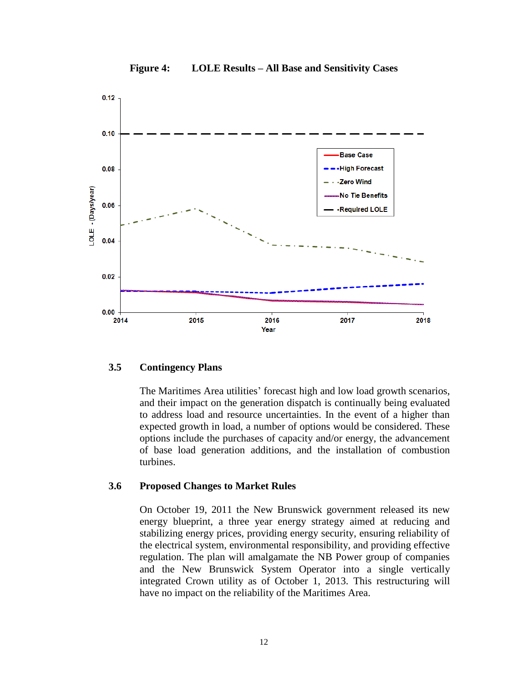

**Figure 4: LOLE Results – All Base and Sensitivity Cases** 

## **3.5 Contingency Plans**

The Maritimes Area utilities' forecast high and low load growth scenarios, and their impact on the generation dispatch is continually being evaluated to address load and resource uncertainties. In the event of a higher than expected growth in load, a number of options would be considered. These options include the purchases of capacity and/or energy, the advancement of base load generation additions, and the installation of combustion turbines.

#### **3.6 Proposed Changes to Market Rules**

On October 19, 2011 the New Brunswick government released its new energy blueprint, a three year energy strategy aimed at reducing and stabilizing energy prices, providing energy security, ensuring reliability of the electrical system, environmental responsibility, and providing effective regulation. The plan will amalgamate the NB Power group of companies and the New Brunswick System Operator into a single vertically integrated Crown utility as of October 1, 2013. This restructuring will have no impact on the reliability of the Maritimes Area.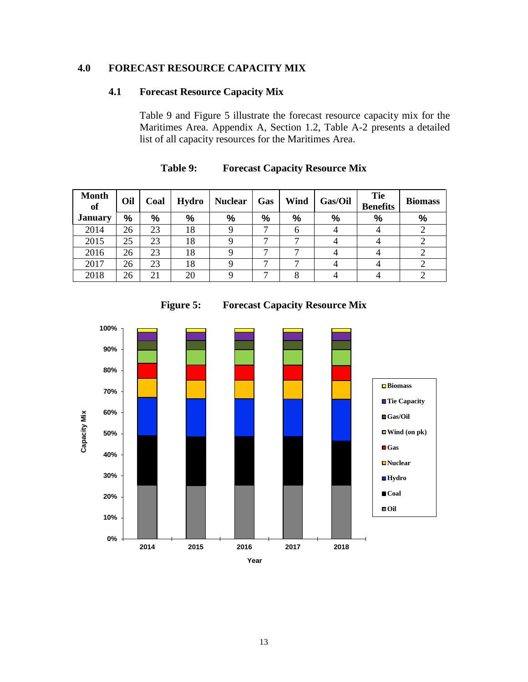## **4.0 FORECAST RESOURCE CAPACITY MIX**

## **4.1 Forecast Resource Capacity Mix**

Table 9 and Figure 5 illustrate the forecast resource capacity mix for the Maritimes Area. Appendix A, Section 1.2, Table A-2 presents a detailed list of all capacity resources for the Maritimes Area.

| <b>Month</b><br>of | Oil           | Coal | Hydro         | <b>Nuclear</b> | Gas | Wind | Gas/Oil | <b>Tie</b><br><b>Benefits</b> | <b>Biomass</b> |
|--------------------|---------------|------|---------------|----------------|-----|------|---------|-------------------------------|----------------|
| <b>January</b>     | $\frac{9}{6}$ | %    | $\frac{0}{0}$ | $\frac{9}{6}$  | %   | %    | %       | %                             | %              |
| 2014               | 26            | 23   | 18            |                | −   | h    |         |                               |                |
| 2015               | 25            | 23   | 18            |                | −   | −    |         |                               |                |
| 2016               | 26            | 23   | 18            |                |     | −    |         |                               |                |
| 2017               | 26            | 23   | 18            |                | ⇁   | ⇁    |         |                               |                |
| 2018               | 26            | 21   | 20            |                |     |      |         |                               |                |

| Table 9: |  |  | <b>Forecast Capacity Resource Mix</b> |
|----------|--|--|---------------------------------------|
|----------|--|--|---------------------------------------|



**Figure 5: Forecast Capacity Resource Mix**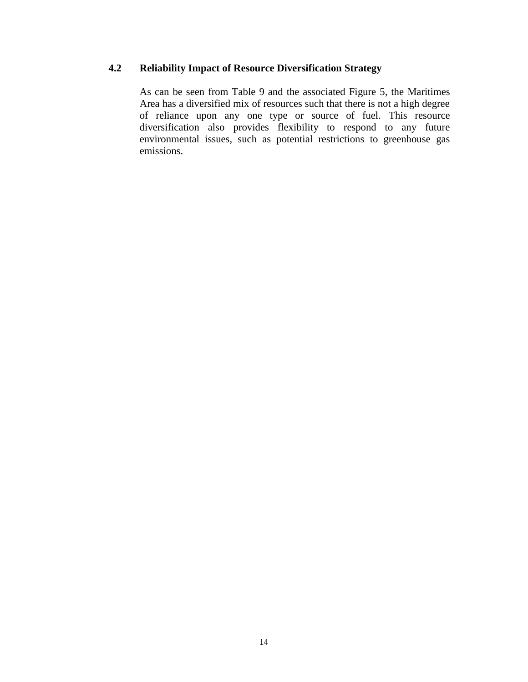## **4.2 Reliability Impact of Resource Diversification Strategy**

As can be seen from Table 9 and the associated Figure 5, the Maritimes Area has a diversified mix of resources such that there is not a high degree of reliance upon any one type or source of fuel. This resource diversification also provides flexibility to respond to any future environmental issues, such as potential restrictions to greenhouse gas emissions.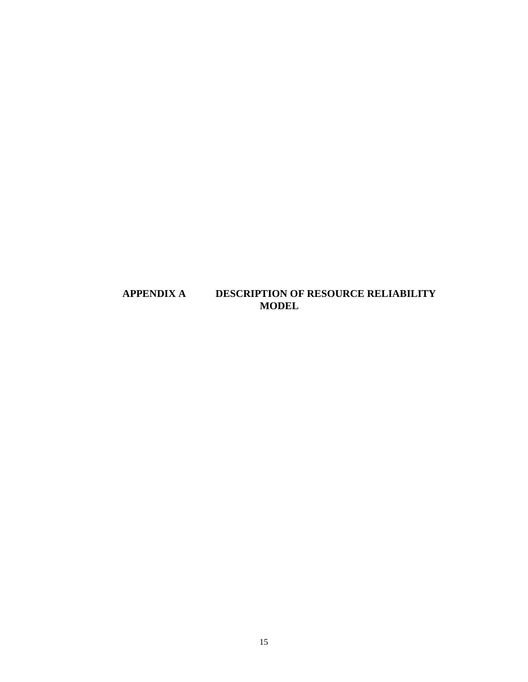**APPENDIX A DESCRIPTION OF RESOURCE RELIABILITY MODEL**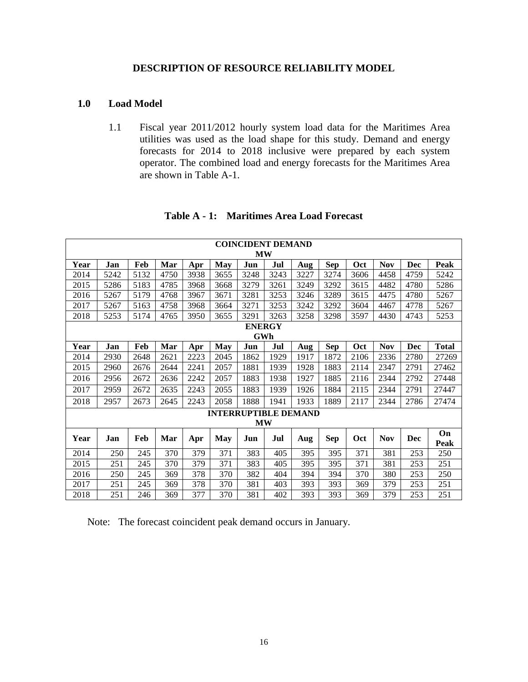## **DESCRIPTION OF RESOURCE RELIABILITY MODEL**

#### **1.0 Load Model**

1.1 Fiscal year 2011/2012 hourly system load data for the Maritimes Area utilities was used as the load shape for this study. Demand and energy forecasts for 2014 to 2018 inclusive were prepared by each system operator. The combined load and energy forecasts for the Maritimes Area are shown in Table A-1.

|      | <b>COINCIDENT DEMAND</b> |      |      |      |                             |           |      |      |            |      |            |      |              |
|------|--------------------------|------|------|------|-----------------------------|-----------|------|------|------------|------|------------|------|--------------|
|      | <b>MW</b>                |      |      |      |                             |           |      |      |            |      |            |      |              |
| Year | <b>Jan</b>               | Feb  | Mar  | Apr  | <b>May</b>                  | .Jun      | Jul  | Aug  | <b>Sep</b> | Oct  | <b>Nov</b> | Dec  | Peak         |
| 2014 | 5242                     | 5132 | 4750 | 3938 | 3655                        | 3248      | 3243 | 3227 | 3274       | 3606 | 4458       | 4759 | 5242         |
| 2015 | 5286                     | 5183 | 4785 | 3968 | 3668                        | 3279      | 3261 | 3249 | 3292       | 3615 | 4482       | 4780 | 5286         |
| 2016 | 5267                     | 5179 | 4768 | 3967 | 3671                        | 3281      | 3253 | 3246 | 3289       | 3615 | 4475       | 4780 | 5267         |
| 2017 | 5267                     | 5163 | 4758 | 3968 | 3664                        | 3271      | 3253 | 3242 | 3292       | 3604 | 4467       | 4778 | 5267         |
| 2018 | 5253                     | 5174 | 4765 | 3950 | 3655                        | 3291      | 3263 | 3258 | 3298       | 3597 | 4430       | 4743 | 5253         |
|      | <b>ENERGY</b>            |      |      |      |                             |           |      |      |            |      |            |      |              |
| GWh  |                          |      |      |      |                             |           |      |      |            |      |            |      |              |
| Year | Jan                      | Feb  | Mar  | Apr  | <b>May</b>                  | Jun       | Jul  | Aug  | <b>Sep</b> | Oct  | <b>Nov</b> | Dec  | <b>Total</b> |
| 2014 | 2930                     | 2648 | 2621 | 2223 | 2045                        | 1862      | 1929 | 1917 | 1872       | 2106 | 2336       | 2780 | 27269        |
| 2015 | 2960                     | 2676 | 2644 | 2241 | 2057                        | 1881      | 1939 | 1928 | 1883       | 2114 | 2347       | 2791 | 27462        |
| 2016 | 2956                     | 2672 | 2636 | 2242 | 2057                        | 1883      | 1938 | 1927 | 1885       | 2116 | 2344       | 2792 | 27448        |
| 2017 | 2959                     | 2672 | 2635 | 2243 | 2055                        | 1883      | 1939 | 1926 | 1884       | 2115 | 2344       | 2791 | 27447        |
| 2018 | 2957                     | 2673 | 2645 | 2243 | 2058                        | 1888      | 1941 | 1933 | 1889       | 2117 | 2344       | 2786 | 27474        |
|      |                          |      |      |      | <b>INTERRUPTIBLE DEMAND</b> |           |      |      |            |      |            |      |              |
|      |                          |      |      |      |                             | <b>MW</b> |      |      |            |      |            |      |              |
| Year | Jan                      | Feb  | Mar  |      | May                         | Jun       | Jul  | Aug  | <b>Sep</b> | Oct  | <b>Nov</b> | Dec  | On           |
|      |                          |      |      | Apr  |                             |           |      |      |            |      |            |      | Peak         |
| 2014 | 250                      | 245  | 370  | 379  | 371                         | 383       | 405  | 395  | 395        | 371  | 381        | 253  | 250          |
| 2015 | 251                      | 245  | 370  | 379  | 371                         | 383       | 405  | 395  | 395        | 371  | 381        | 253  | 251          |
| 2016 | 250                      | 245  | 369  | 378  | 370                         | 382       | 404  | 394  | 394        | 370  | 380        | 253  | 250          |
| 2017 | 251                      | 245  | 369  | 378  | 370                         | 381       | 403  | 393  | 393        | 369  | 379        | 253  | 251          |
| 2018 | 251                      | 246  | 369  | 377  | 370                         | 381       | 402  | 393  | 393        | 369  | 379        | 253  | 251          |

#### **Table A - 1: Maritimes Area Load Forecast**

Note: The forecast coincident peak demand occurs in January.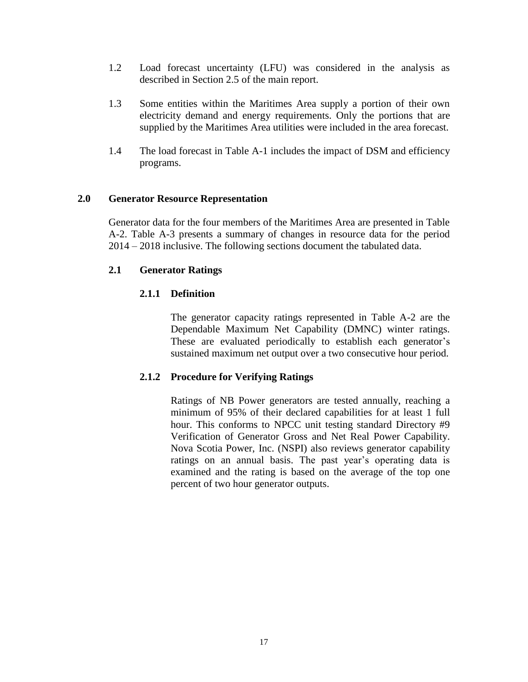- 1.2 Load forecast uncertainty (LFU) was considered in the analysis as described in Section 2.5 of the main report.
- 1.3 Some entities within the Maritimes Area supply a portion of their own electricity demand and energy requirements. Only the portions that are supplied by the Maritimes Area utilities were included in the area forecast.
- 1.4 The load forecast in Table A-1 includes the impact of DSM and efficiency programs.

## **2.0 Generator Resource Representation**

Generator data for the four members of the Maritimes Area are presented in Table A-2. Table A-3 presents a summary of changes in resource data for the period 2014 – 2018 inclusive. The following sections document the tabulated data.

## **2.1 Generator Ratings**

## **2.1.1 Definition**

The generator capacity ratings represented in Table A-2 are the Dependable Maximum Net Capability (DMNC) winter ratings. These are evaluated periodically to establish each generator's sustained maximum net output over a two consecutive hour period.

## **2.1.2 Procedure for Verifying Ratings**

Ratings of NB Power generators are tested annually, reaching a minimum of 95% of their declared capabilities for at least 1 full hour. This conforms to NPCC unit testing standard Directory #9 Verification of Generator Gross and Net Real Power Capability. Nova Scotia Power, Inc. (NSPI) also reviews generator capability ratings on an annual basis. The past year's operating data is examined and the rating is based on the average of the top one percent of two hour generator outputs.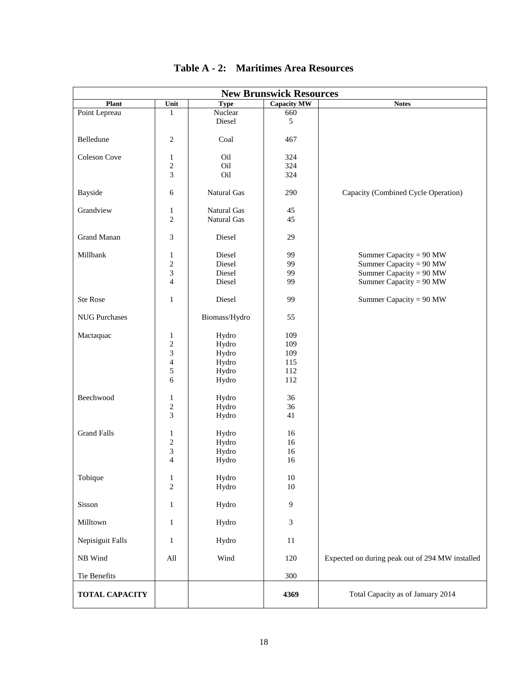| <b>New Brunswick Resources</b> |                         |                   |                    |                                                 |  |  |  |  |
|--------------------------------|-------------------------|-------------------|--------------------|-------------------------------------------------|--|--|--|--|
| Plant                          | Unit                    | <b>Type</b>       | <b>Capacity MW</b> | <b>Notes</b>                                    |  |  |  |  |
| Point Lepreau                  | 1                       | Nuclear<br>Diesel | 660<br>5           |                                                 |  |  |  |  |
| Belledune                      | $\mathbf{2}$            | Coal              | 467                |                                                 |  |  |  |  |
| Coleson Cove                   | $\mathbf{1}$            | Oil               | 324                |                                                 |  |  |  |  |
|                                | $\overline{c}$          | Oil               | 324                |                                                 |  |  |  |  |
|                                | 3                       | Oil               | 324                |                                                 |  |  |  |  |
| <b>Bayside</b>                 | $\sqrt{6}$              | Natural Gas       | 290                | Capacity (Combined Cycle Operation)             |  |  |  |  |
| Grandview                      | $\mathbf{1}$            | Natural Gas       | 45                 |                                                 |  |  |  |  |
|                                | $\overline{2}$          | Natural Gas       | 45                 |                                                 |  |  |  |  |
| Grand Manan                    | 3                       | Diesel            | 29                 |                                                 |  |  |  |  |
| Millbank                       | $\mathbf{1}$            | Diesel            | 99                 | Summer Capacity = $90$ MW                       |  |  |  |  |
|                                | $\sqrt{2}$              | Diesel            | 99                 | Summer Capacity = $90$ MW                       |  |  |  |  |
|                                | 3                       | Diesel            | 99                 | Summer Capacity = $90$ MW                       |  |  |  |  |
|                                | $\overline{\mathbf{4}}$ | Diesel            | 99                 | Summer Capacity = $90$ MW                       |  |  |  |  |
|                                |                         |                   |                    |                                                 |  |  |  |  |
| <b>Ste Rose</b>                | $\mathbf{1}$            | Diesel            | 99                 | Summer Capacity = $90$ MW                       |  |  |  |  |
| <b>NUG Purchases</b>           |                         | Biomass/Hydro     | 55                 |                                                 |  |  |  |  |
| Mactaquac                      | 1                       | Hydro             | 109                |                                                 |  |  |  |  |
|                                | $\sqrt{2}$              | Hydro             | 109                |                                                 |  |  |  |  |
|                                | 3                       | Hydro             | 109                |                                                 |  |  |  |  |
|                                | $\overline{\mathbf{4}}$ | Hydro             | 115                |                                                 |  |  |  |  |
|                                | 5                       | Hydro             | 112                |                                                 |  |  |  |  |
|                                | 6                       | Hydro             | 112                |                                                 |  |  |  |  |
| Beechwood                      | 1                       | Hydro             | 36                 |                                                 |  |  |  |  |
|                                | $\sqrt{2}$              | Hydro             | 36                 |                                                 |  |  |  |  |
|                                | 3                       | Hydro             | 41                 |                                                 |  |  |  |  |
|                                |                         |                   |                    |                                                 |  |  |  |  |
| <b>Grand Falls</b>             | 1                       | Hydro             | 16                 |                                                 |  |  |  |  |
|                                | $\sqrt{2}$              | Hydro             | 16                 |                                                 |  |  |  |  |
|                                | 3                       | Hydro             | 16                 |                                                 |  |  |  |  |
|                                | 4                       | Hydro             | 16                 |                                                 |  |  |  |  |
| Tobique                        | 1                       | Hydro             | $10\,$             |                                                 |  |  |  |  |
|                                | $\overline{c}$          | Hydro             | 10                 |                                                 |  |  |  |  |
|                                |                         |                   |                    |                                                 |  |  |  |  |
| Sisson                         | $\mathbf{1}$            | Hydro             | $\overline{9}$     |                                                 |  |  |  |  |
| Milltown                       | $\mathbf{1}$            | Hydro             | 3                  |                                                 |  |  |  |  |
| Nepisiguit Falls               | 1                       | Hydro             | $11\,$             |                                                 |  |  |  |  |
| NB Wind                        | All                     | Wind              | 120                | Expected on during peak out of 294 MW installed |  |  |  |  |
| Tie Benefits                   |                         |                   | 300                |                                                 |  |  |  |  |
| <b>TOTAL CAPACITY</b>          |                         |                   | 4369               | Total Capacity as of January 2014               |  |  |  |  |
|                                |                         |                   |                    |                                                 |  |  |  |  |

## **Table A - 2: Maritimes Area Resources**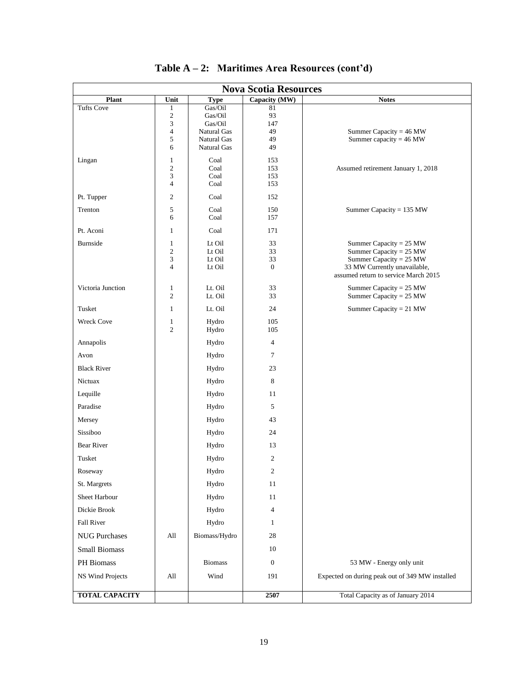| <b>Nova Scotia Resources</b> |                                                       |                                                                                   |                                   |                                                                                                                                                             |  |  |  |
|------------------------------|-------------------------------------------------------|-----------------------------------------------------------------------------------|-----------------------------------|-------------------------------------------------------------------------------------------------------------------------------------------------------------|--|--|--|
| Plant                        | Unit                                                  | <b>Type</b>                                                                       | Capacity (MW)                     | <b>Notes</b>                                                                                                                                                |  |  |  |
| <b>Tufts Cove</b>            | 1<br>$\mathbf{2}$<br>3<br>$\overline{4}$<br>5<br>6    | Gas/Oil<br>Gas/Oil<br>Gas/Oil<br>Natural Gas<br><b>Natural Gas</b><br>Natural Gas | 81<br>93<br>147<br>49<br>49<br>49 | Summer Capacity = $46$ MW<br>Summer capacity = $46$ MW                                                                                                      |  |  |  |
| Lingan                       | $\mathbf{1}$<br>$\mathfrak{2}$<br>3<br>$\overline{4}$ | Coal<br>Coal<br>Coal<br>Coal                                                      | 153<br>153<br>153<br>153          | Assumed retirement January 1, 2018                                                                                                                          |  |  |  |
| Pt. Tupper                   | $\overline{c}$                                        | Coal                                                                              | 152                               |                                                                                                                                                             |  |  |  |
| Trenton                      | 5<br>6                                                | Coal<br>Coal                                                                      | 150<br>157                        | Summer Capacity = 135 MW                                                                                                                                    |  |  |  |
| Pt. Aconi                    | $\mathbf{1}$                                          | Coal                                                                              | 171                               |                                                                                                                                                             |  |  |  |
| <b>Burnside</b>              | $\mathbf{1}$<br>$\mathfrak{2}$<br>3<br>$\overline{4}$ | Lt Oil<br>Lt Oil<br>Lt Oil<br>Lt Oil                                              | 33<br>33<br>33<br>$\overline{0}$  | Summer Capacity = $25$ MW<br>Summer Capacity = $25$ MW<br>Summer Capacity = $25$ MW<br>33 MW Currently unavailable,<br>assumed return to service March 2015 |  |  |  |
| Victoria Junction            | $\mathbf{1}$<br>$\overline{c}$                        | Lt. Oil<br>Lt. Oil                                                                | 33<br>33                          | Summer Capacity = $25$ MW<br>Summer Capacity = $25$ MW                                                                                                      |  |  |  |
| Tusket                       | $\mathbf{1}$                                          | Lt. Oil                                                                           | 24                                | Summer Capacity = $21$ MW                                                                                                                                   |  |  |  |
| <b>Wreck Cove</b>            | $\mathbf{1}$<br>$\overline{c}$                        | Hydro<br>Hydro                                                                    | 105<br>105                        |                                                                                                                                                             |  |  |  |
| Annapolis                    |                                                       | Hydro                                                                             | $\overline{4}$                    |                                                                                                                                                             |  |  |  |
| Avon                         |                                                       | Hydro                                                                             | $\tau$                            |                                                                                                                                                             |  |  |  |
| <b>Black River</b>           |                                                       | Hydro                                                                             | 23                                |                                                                                                                                                             |  |  |  |
| Nictuax                      |                                                       | Hydro                                                                             | 8                                 |                                                                                                                                                             |  |  |  |
| Lequille                     |                                                       | Hydro                                                                             | 11                                |                                                                                                                                                             |  |  |  |
| Paradise                     |                                                       | Hydro                                                                             | 5                                 |                                                                                                                                                             |  |  |  |
| Mersey                       |                                                       | Hydro                                                                             | 43                                |                                                                                                                                                             |  |  |  |
| Sissiboo                     |                                                       | Hydro                                                                             | 24                                |                                                                                                                                                             |  |  |  |
| <b>Bear River</b>            |                                                       | Hydro                                                                             | 13                                |                                                                                                                                                             |  |  |  |
| Tusket                       |                                                       | Hydro                                                                             | 2                                 |                                                                                                                                                             |  |  |  |
| Roseway                      |                                                       | Hydro                                                                             | $\sqrt{2}$                        |                                                                                                                                                             |  |  |  |
| St. Margrets                 |                                                       | Hydro                                                                             | 11                                |                                                                                                                                                             |  |  |  |
| Sheet Harbour                |                                                       | Hydro                                                                             | 11                                |                                                                                                                                                             |  |  |  |
| Dickie Brook                 |                                                       | Hydro                                                                             | $\overline{4}$                    |                                                                                                                                                             |  |  |  |
| Fall River                   |                                                       | Hydro                                                                             | $\mathbf{1}$                      |                                                                                                                                                             |  |  |  |
| NUG Purchases                | All                                                   | Biomass/Hydro                                                                     | 28                                |                                                                                                                                                             |  |  |  |
| <b>Small Biomass</b>         |                                                       |                                                                                   | 10                                |                                                                                                                                                             |  |  |  |
| PH Biomass                   |                                                       | <b>Biomass</b>                                                                    | $\mathbf{0}$                      | 53 MW - Energy only unit                                                                                                                                    |  |  |  |
| <b>NS Wind Projects</b>      | All                                                   | Wind                                                                              | 191                               | Expected on during peak out of 349 MW installed                                                                                                             |  |  |  |
| <b>TOTAL CAPACITY</b>        |                                                       |                                                                                   | 2507                              | Total Capacity as of January 2014                                                                                                                           |  |  |  |

|  | Table $A - 2$ : Maritimes Area Resources (cont'd) |  |  |
|--|---------------------------------------------------|--|--|
|--|---------------------------------------------------|--|--|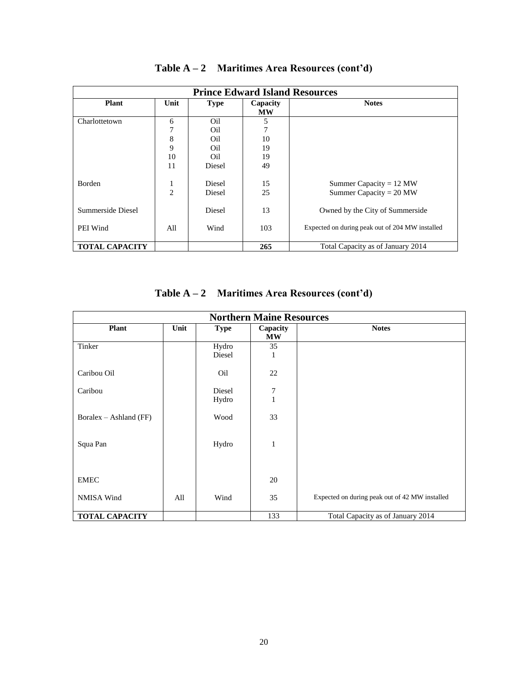| <b>Prince Edward Island Resources</b> |                |             |                       |                                                 |  |  |  |
|---------------------------------------|----------------|-------------|-----------------------|-------------------------------------------------|--|--|--|
| <b>Plant</b>                          | Unit           | <b>Type</b> | Capacity<br><b>MW</b> | <b>Notes</b>                                    |  |  |  |
| Charlottetown                         | 6              | Oil         | 5                     |                                                 |  |  |  |
|                                       | 7              | Oil         | 7                     |                                                 |  |  |  |
|                                       | 8              | Oil         | 10                    |                                                 |  |  |  |
|                                       | 9              | Oil         | 19                    |                                                 |  |  |  |
|                                       | 10             | Oil         | 19                    |                                                 |  |  |  |
|                                       | 11             | Diesel      | 49                    |                                                 |  |  |  |
| <b>Borden</b>                         | 1              | Diesel      | 15                    | Summer Capacity = $12 \text{ MW}$               |  |  |  |
|                                       | $\overline{2}$ | Diesel      | 25                    | Summer Capacity = $20$ MW                       |  |  |  |
| Summerside Diesel                     |                | Diesel      | 13                    | Owned by the City of Summerside                 |  |  |  |
| PEI Wind                              | All            | Wind        | 103                   | Expected on during peak out of 204 MW installed |  |  |  |
| <b>TOTAL CAPACITY</b>                 |                |             | 265                   | Total Capacity as of January 2014               |  |  |  |

**Table A – 2 Maritimes Area Resources (cont'd)**

|  | Table $A - 2$ Maritimes Area Resources (cont'd) |  |  |
|--|-------------------------------------------------|--|--|
|--|-------------------------------------------------|--|--|

| <b>Northern Maine Resources</b> |      |             |                       |                                                |  |
|---------------------------------|------|-------------|-----------------------|------------------------------------------------|--|
| Plant                           | Unit | <b>Type</b> | Capacity<br><b>MW</b> | <b>Notes</b>                                   |  |
| Tinker                          |      | Hydro       | 35                    |                                                |  |
|                                 |      | Diesel      | 1                     |                                                |  |
| Caribou Oil                     |      | Oil         | 22                    |                                                |  |
| Caribou                         |      | Diesel      | 7                     |                                                |  |
|                                 |      | Hydro       | $\mathbf{1}$          |                                                |  |
| $Boralex - Ashland (FF)$        |      | Wood        | 33                    |                                                |  |
| Squa Pan                        |      | Hydro       | $\mathbf{1}$          |                                                |  |
|                                 |      |             |                       |                                                |  |
| <b>EMEC</b>                     |      |             | 20                    |                                                |  |
| <b>NMISA Wind</b>               | All  | Wind        | 35                    | Expected on during peak out of 42 MW installed |  |
| <b>TOTAL CAPACITY</b>           |      |             | 133                   | Total Capacity as of January 2014              |  |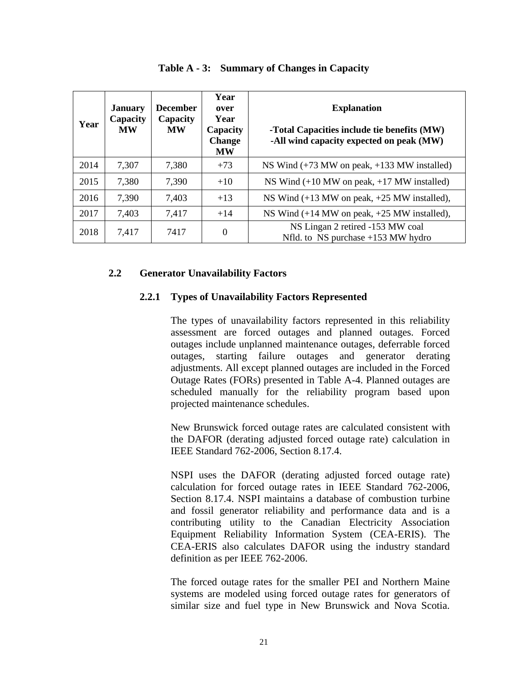| Year | <b>January</b><br>Capacity<br><b>MW</b> | <b>December</b><br>Capacity<br><b>MW</b> | Year<br>over<br>Year<br>Capacity<br><b>Change</b><br><b>MW</b> | <b>Explanation</b><br>-Total Capacities include tie benefits (MW)<br>-All wind capacity expected on peak (MW) |
|------|-----------------------------------------|------------------------------------------|----------------------------------------------------------------|---------------------------------------------------------------------------------------------------------------|
| 2014 | 7,307                                   | 7,380                                    | $+73$                                                          | NS Wind $(+73 \text{ MW}$ on peak, $+133 \text{ MW}$ installed)                                               |
| 2015 | 7,380                                   | 7,390                                    | $+10$                                                          | NS Wind $(+10$ MW on peak, $+17$ MW installed)                                                                |
| 2016 | 7,390                                   | 7,403                                    | $+13$                                                          | NS Wind $(+13 \text{ MW}$ on peak, $+25 \text{ MW}$ installed),                                               |
| 2017 | 7,403                                   | 7,417                                    | $+14$                                                          | NS Wind $(+14 \text{ MW}$ on peak, $+25 \text{ MW}$ installed),                                               |
| 2018 | 7,417                                   | 7417                                     | $\Omega$                                                       | NS Lingan 2 retired -153 MW coal<br>Nfld. to $NS$ purchase $+153$ MW hydro                                    |

**Table A - 3: Summary of Changes in Capacity** 

## **2.2 Generator Unavailability Factors**

## **2.2.1 Types of Unavailability Factors Represented**

The types of unavailability factors represented in this reliability assessment are forced outages and planned outages. Forced outages include unplanned maintenance outages, deferrable forced outages, starting failure outages and generator derating adjustments. All except planned outages are included in the Forced Outage Rates (FORs) presented in Table A-4. Planned outages are scheduled manually for the reliability program based upon projected maintenance schedules.

New Brunswick forced outage rates are calculated consistent with the DAFOR (derating adjusted forced outage rate) calculation in IEEE Standard 762-2006, Section 8.17.4.

NSPI uses the DAFOR (derating adjusted forced outage rate) calculation for forced outage rates in IEEE Standard 762-2006, Section 8.17.4. NSPI maintains a database of combustion turbine and fossil generator reliability and performance data and is a contributing utility to the Canadian Electricity Association Equipment Reliability Information System (CEA-ERIS). The CEA-ERIS also calculates DAFOR using the industry standard definition as per IEEE 762-2006.

The forced outage rates for the smaller PEI and Northern Maine systems are modeled using forced outage rates for generators of similar size and fuel type in New Brunswick and Nova Scotia.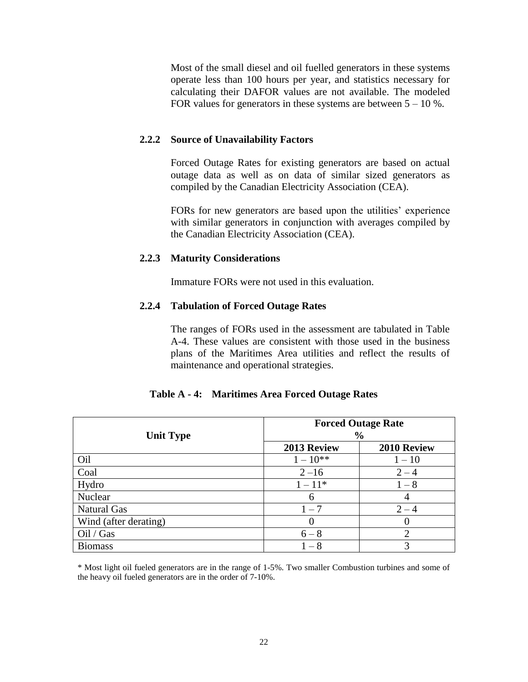Most of the small diesel and oil fuelled generators in these systems operate less than 100 hours per year, and statistics necessary for calculating their DAFOR values are not available. The modeled FOR values for generators in these systems are between  $5 - 10$  %.

## **2.2.2 Source of Unavailability Factors**

Forced Outage Rates for existing generators are based on actual outage data as well as on data of similar sized generators as compiled by the Canadian Electricity Association (CEA).

FORs for new generators are based upon the utilities' experience with similar generators in conjunction with averages compiled by the Canadian Electricity Association (CEA).

## **2.2.3 Maturity Considerations**

Immature FORs were not used in this evaluation.

## **2.2.4 Tabulation of Forced Outage Rates**

The ranges of FORs used in the assessment are tabulated in Table A-4. These values are consistent with those used in the business plans of the Maritimes Area utilities and reflect the results of maintenance and operational strategies.

| <b>Unit Type</b>      | <b>Forced Outage Rate</b><br>$\frac{0}{0}$ |             |  |  |
|-----------------------|--------------------------------------------|-------------|--|--|
|                       | 2013 Review                                | 2010 Review |  |  |
| Oil                   | $1 - 10**$                                 | $1 - 10$    |  |  |
| Coal                  | $2 - 16$                                   | $2 - 4$     |  |  |
| Hydro                 | $1 - 11*$                                  | $1 - 8$     |  |  |
| Nuclear               | 6                                          |             |  |  |
| <b>Natural Gas</b>    | $1 - 7$                                    | $2 - 4$     |  |  |
| Wind (after derating) | $\left( \right)$                           |             |  |  |
| Oil / Gas             | $6 - 8$                                    | ◠           |  |  |
| <b>Biomass</b>        | $1-8$                                      | 3           |  |  |

## **Table A - 4: Maritimes Area Forced Outage Rates**

\* Most light oil fueled generators are in the range of 1-5%. Two smaller Combustion turbines and some of the heavy oil fueled generators are in the order of 7-10%.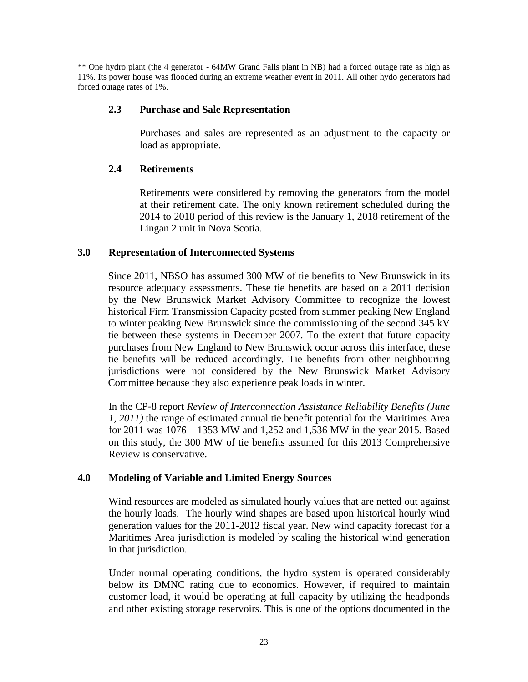\*\* One hydro plant (the 4 generator - 64MW Grand Falls plant in NB) had a forced outage rate as high as 11%. Its power house was flooded during an extreme weather event in 2011. All other hydo generators had forced outage rates of 1%.

## **2.3 Purchase and Sale Representation**

Purchases and sales are represented as an adjustment to the capacity or load as appropriate.

## **2.4 Retirements**

Retirements were considered by removing the generators from the model at their retirement date. The only known retirement scheduled during the 2014 to 2018 period of this review is the January 1, 2018 retirement of the Lingan 2 unit in Nova Scotia.

## **3.0 Representation of Interconnected Systems**

Since 2011, NBSO has assumed 300 MW of tie benefits to New Brunswick in its resource adequacy assessments. These tie benefits are based on a 2011 decision by the New Brunswick Market Advisory Committee to recognize the lowest historical Firm Transmission Capacity posted from summer peaking New England to winter peaking New Brunswick since the commissioning of the second 345 kV tie between these systems in December 2007. To the extent that future capacity purchases from New England to New Brunswick occur across this interface, these tie benefits will be reduced accordingly. Tie benefits from other neighbouring jurisdictions were not considered by the New Brunswick Market Advisory Committee because they also experience peak loads in winter.

In the CP-8 report *Review of Interconnection Assistance Reliability Benefits (June 1, 2011)* the range of estimated annual tie benefit potential for the Maritimes Area for 2011 was 1076 – 1353 MW and 1,252 and 1,536 MW in the year 2015. Based on this study, the 300 MW of tie benefits assumed for this 2013 Comprehensive Review is conservative.

## **4.0 Modeling of Variable and Limited Energy Sources**

Wind resources are modeled as simulated hourly values that are netted out against the hourly loads. The hourly wind shapes are based upon historical hourly wind generation values for the 2011-2012 fiscal year. New wind capacity forecast for a Maritimes Area jurisdiction is modeled by scaling the historical wind generation in that jurisdiction.

Under normal operating conditions, the hydro system is operated considerably below its DMNC rating due to economics. However, if required to maintain customer load, it would be operating at full capacity by utilizing the headponds and other existing storage reservoirs. This is one of the options documented in the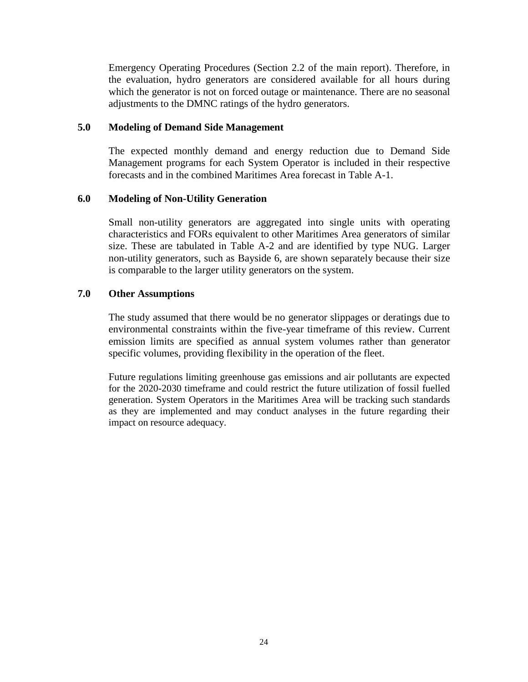Emergency Operating Procedures (Section 2.2 of the main report). Therefore, in the evaluation, hydro generators are considered available for all hours during which the generator is not on forced outage or maintenance. There are no seasonal adjustments to the DMNC ratings of the hydro generators.

## **5.0 Modeling of Demand Side Management**

The expected monthly demand and energy reduction due to Demand Side Management programs for each System Operator is included in their respective forecasts and in the combined Maritimes Area forecast in Table A-1.

## **6.0 Modeling of Non-Utility Generation**

Small non-utility generators are aggregated into single units with operating characteristics and FORs equivalent to other Maritimes Area generators of similar size. These are tabulated in Table A-2 and are identified by type NUG. Larger non-utility generators, such as Bayside 6, are shown separately because their size is comparable to the larger utility generators on the system.

## **7.0 Other Assumptions**

The study assumed that there would be no generator slippages or deratings due to environmental constraints within the five-year timeframe of this review. Current emission limits are specified as annual system volumes rather than generator specific volumes, providing flexibility in the operation of the fleet.

Future regulations limiting greenhouse gas emissions and air pollutants are expected for the 2020-2030 timeframe and could restrict the future utilization of fossil fuelled generation. System Operators in the Maritimes Area will be tracking such standards as they are implemented and may conduct analyses in the future regarding their impact on resource adequacy.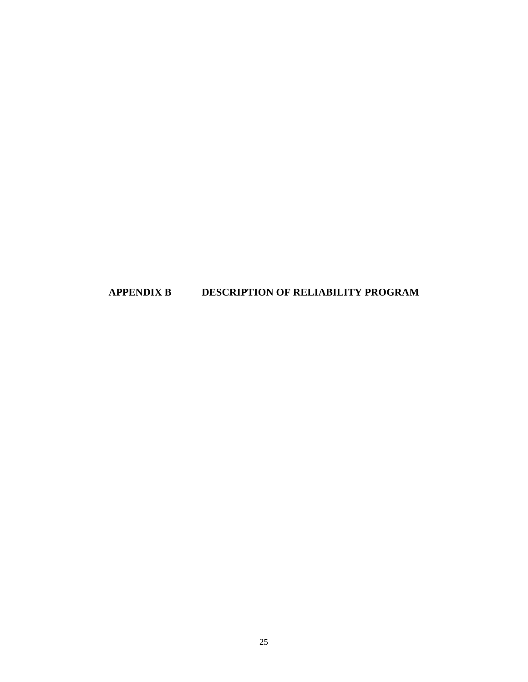**APPENDIX B DESCRIPTION OF RELIABILITY PROGRAM**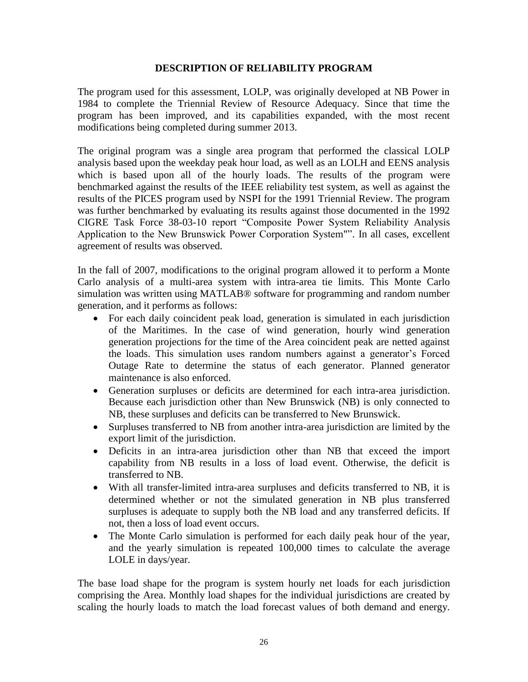## **DESCRIPTION OF RELIABILITY PROGRAM**

The program used for this assessment, LOLP, was originally developed at NB Power in 1984 to complete the Triennial Review of Resource Adequacy. Since that time the program has been improved, and its capabilities expanded, with the most recent modifications being completed during summer 2013.

The original program was a single area program that performed the classical LOLP analysis based upon the weekday peak hour load, as well as an LOLH and EENS analysis which is based upon all of the hourly loads. The results of the program were benchmarked against the results of the IEEE reliability test system, as well as against the results of the PICES program used by NSPI for the 1991 Triennial Review. The program was further benchmarked by evaluating its results against those documented in the 1992 CIGRE Task Force 38-03-10 report "Composite Power System Reliability Analysis Application to the New Brunswick Power Corporation System"". In all cases, excellent agreement of results was observed.

In the fall of 2007, modifications to the original program allowed it to perform a Monte Carlo analysis of a multi-area system with intra-area tie limits. This Monte Carlo simulation was written using MATLAB® software for programming and random number generation, and it performs as follows:

- For each daily coincident peak load, generation is simulated in each jurisdiction of the Maritimes. In the case of wind generation, hourly wind generation generation projections for the time of the Area coincident peak are netted against the loads. This simulation uses random numbers against a generator's Forced Outage Rate to determine the status of each generator. Planned generator maintenance is also enforced.
- Generation surpluses or deficits are determined for each intra-area jurisdiction. Because each jurisdiction other than New Brunswick (NB) is only connected to NB, these surpluses and deficits can be transferred to New Brunswick.
- Surpluses transferred to NB from another intra-area jurisdiction are limited by the export limit of the jurisdiction.
- Deficits in an intra-area jurisdiction other than NB that exceed the import capability from NB results in a loss of load event. Otherwise, the deficit is transferred to NB.
- With all transfer-limited intra-area surpluses and deficits transferred to NB, it is determined whether or not the simulated generation in NB plus transferred surpluses is adequate to supply both the NB load and any transferred deficits. If not, then a loss of load event occurs.
- The Monte Carlo simulation is performed for each daily peak hour of the year, and the yearly simulation is repeated 100,000 times to calculate the average LOLE in days/year.

The base load shape for the program is system hourly net loads for each jurisdiction comprising the Area. Monthly load shapes for the individual jurisdictions are created by scaling the hourly loads to match the load forecast values of both demand and energy.